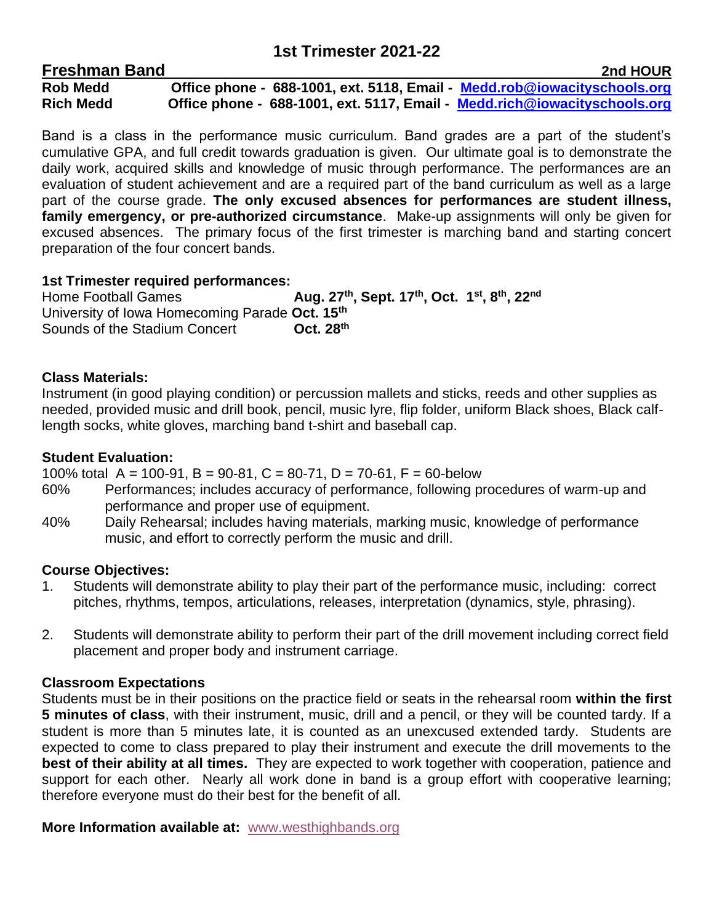# **1st Trimester 2021-22**

| <b>Freshman Band</b> |                                                                           | 2nd HOUR |
|----------------------|---------------------------------------------------------------------------|----------|
| <b>Rob Medd</b>      | Office phone - 688-1001, ext. 5118, Email - Medd.rob@iowacityschools.org  |          |
| <b>Rich Medd</b>     | Office phone - 688-1001, ext. 5117, Email - Medd.rich@iowacityschools.org |          |

Band is a class in the performance music curriculum. Band grades are a part of the student's cumulative GPA, and full credit towards graduation is given. Our ultimate goal is to demonstrate the daily work, acquired skills and knowledge of music through performance. The performances are an evaluation of student achievement and are a required part of the band curriculum as well as a large part of the course grade. **The only excused absences for performances are student illness, family emergency, or pre-authorized circumstance**. Make-up assignments will only be given for excused absences. The primary focus of the first trimester is marching band and starting concert preparation of the four concert bands.

# **1st Trimester required performances:**

**Home Football Games , Sept. 17th , Oct. 1 st , 8 th, 22nd** University of Iowa Homecoming Parade **Oct. 15 th Sounds of the Stadium Concert th**

# **Class Materials:**

Instrument (in good playing condition) or percussion mallets and sticks, reeds and other supplies as needed, provided music and drill book, pencil, music lyre, flip folder, uniform Black shoes, Black calflength socks, white gloves, marching band t-shirt and baseball cap.

# **Student Evaluation:**

100% total  $A = 100-91$ ,  $B = 90-81$ ,  $C = 80-71$ ,  $D = 70-61$ ,  $F = 60$ -below

- 60% Performances; includes accuracy of performance, following procedures of warm-up and performance and proper use of equipment.
- 40% Daily Rehearsal; includes having materials, marking music, knowledge of performance music, and effort to correctly perform the music and drill.

## **Course Objectives:**

- 1. Students will demonstrate ability to play their part of the performance music, including: correct pitches, rhythms, tempos, articulations, releases, interpretation (dynamics, style, phrasing).
- 2. Students will demonstrate ability to perform their part of the drill movement including correct field placement and proper body and instrument carriage.

## **Classroom Expectations**

Students must be in their positions on the practice field or seats in the rehearsal room **within the first 5 minutes of class**, with their instrument, music, drill and a pencil, or they will be counted tardy. If a student is more than 5 minutes late, it is counted as an unexcused extended tardy. Students are expected to come to class prepared to play their instrument and execute the drill movements to the **best of their ability at all times.** They are expected to work together with cooperation, patience and support for each other. Nearly all work done in band is a group effort with cooperative learning; therefore everyone must do their best for the benefit of all.

**More Information available at:** [www.westhighbands.org](http://www.westhighbands.org/)